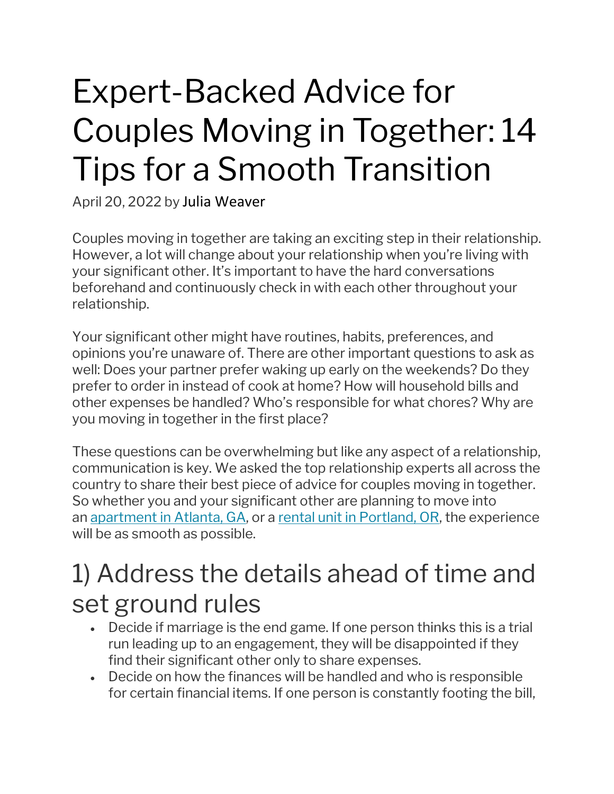# Expert-Backed Advice for Couples Moving in Together: 14 Tips for a Smooth Transition

April 20, 2022 by Julia Weaver

Couples moving in together are taking an exciting step in their relationship. However, a lot will change about your relationship when you're living with your significant other. It's important to have the hard conversations beforehand and continuously check in with each other throughout your relationship.

Your significant other might have routines, habits, preferences, and opinions you're unaware of. There are other important questions to ask as well: Does your partner prefer waking up early on the weekends? Do they prefer to order in instead of cook at home? How will household bills and other expenses be handled? Who's responsible for what chores? Why are you moving in together in the first place?

These questions can be overwhelming but like any aspect of a relationship, communication is key. We asked the top relationship experts all across the country to share their best piece of advice for couples moving in together. So whether you and your significant other are planning to move into an apartment in Atlanta, GA, or a rental unit in Portland, OR, the experience will be as smooth as possible.

### 1) Address the details ahead of time and set ground rules

- Decide if marriage is the end game. If one person thinks this is a trial run leading up to an engagement, they will be disappointed if they find their significant other only to share expenses.
- Decide on how the finances will be handled and who is responsible for certain financial items. If one person is constantly footing the bill,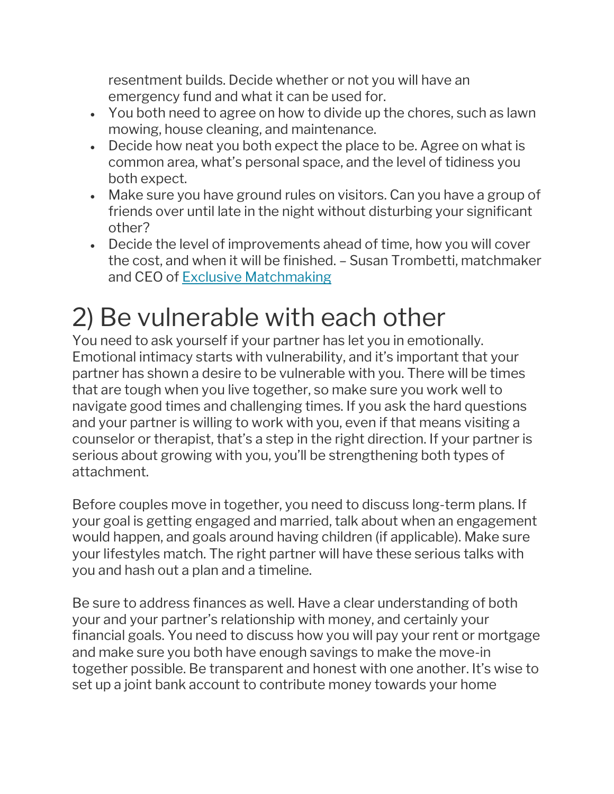resentment builds. Decide whether or not you will have an emergency fund and what it can be used for.

- You both need to agree on how to divide up the chores, such as lawn mowing, house cleaning, and maintenance.
- Decide how neat you both expect the place to be. Agree on what is common area, what's personal space, and the level of tidiness you both expect.
- Make sure you have ground rules on visitors. Can you have a group of friends over until late in the night without disturbing your significant other?
- Decide the level of improvements ahead of time, how you will cover the cost, and when it will be finished. – Susan Trombetti, matchmaker and CEO of Exclusive Matchmaking

# 2) Be vulnerable with each other

You need to ask yourself if your partner has let you in emotionally. Emotional intimacy starts with vulnerability, and it's important that your partner has shown a desire to be vulnerable with you. There will be times that are tough when you live together, so make sure you work well to navigate good times and challenging times. If you ask the hard questions and your partner is willing to work with you, even if that means visiting a counselor or therapist, that's a step in the right direction. If your partner is serious about growing with you, you'll be strengthening both types of attachment.

Before couples move in together, you need to discuss long-term plans. If your goal is getting engaged and married, talk about when an engagement would happen, and goals around having children (if applicable). Make sure your lifestyles match. The right partner will have these serious talks with you and hash out a plan and a timeline.

Be sure to address finances as well. Have a clear understanding of both your and your partner's relationship with money, and certainly your financial goals. You need to discuss how you will pay your rent or mortgage and make sure you both have enough savings to make the move-in together possible. Be transparent and honest with one another. It's wise to set up a joint bank account to contribute money towards your home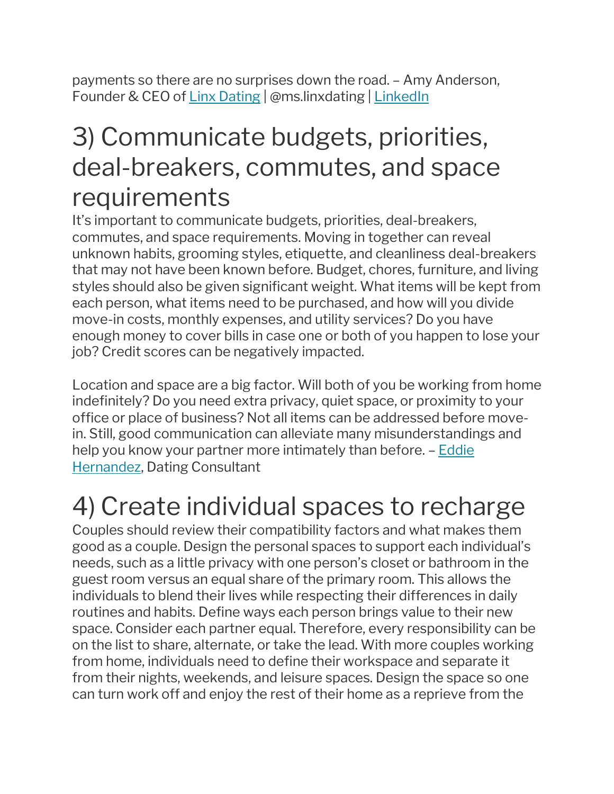payments so there are no surprises down the road. – Amy Anderson, Founder & CEO of Linx Dating | @ms.linxdating | LinkedIn

#### 3) Communicate budgets, priorities, deal-breakers, commutes, and space requirements

It's important to communicate budgets, priorities, deal-breakers, commutes, and space requirements. Moving in together can reveal unknown habits, grooming styles, etiquette, and cleanliness deal-breakers that may not have been known before. Budget, chores, furniture, and living styles should also be given significant weight. What items will be kept from each person, what items need to be purchased, and how will you divide move-in costs, monthly expenses, and utility services? Do you have enough money to cover bills in case one or both of you happen to lose your job? Credit scores can be negatively impacted.

Location and space are a big factor. Will both of you be working from home indefinitely? Do you need extra privacy, quiet space, or proximity to your office or place of business? Not all items can be addressed before movein. Still, good communication can alleviate many misunderstandings and help you know your partner more intimately than before. – Eddie Hernandez, Dating Consultant

#### 4) Create individual spaces to recharge

Couples should review their compatibility factors and what makes them good as a couple. Design the personal spaces to support each individual's needs, such as a little privacy with one person's closet or bathroom in the guest room versus an equal share of the primary room. This allows the individuals to blend their lives while respecting their differences in daily routines and habits. Define ways each person brings value to their new space. Consider each partner equal. Therefore, every responsibility can be on the list to share, alternate, or take the lead. With more couples working from home, individuals need to define their workspace and separate it from their nights, weekends, and leisure spaces. Design the space so one can turn work off and enjoy the rest of their home as a reprieve from the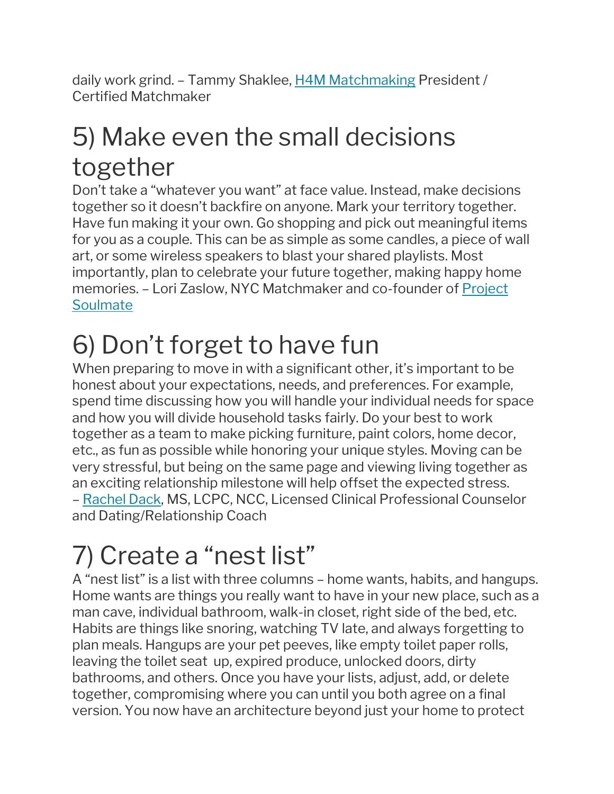daily work grind. – Tammy Shaklee, H4M Matchmaking President / Certified Matchmaker

### 5) Make even the small decisions together

Don't take a "whatever you want" at face value. Instead, make decisions together so it doesn't backfire on anyone. Mark your territory together. Have fun making it your own. Go shopping and pick out meaningful items for you as a couple. This can be as simple as some candles, a piece of wall art, or some wireless speakers to blast your shared playlists. Most importantly, plan to celebrate your future together, making happy home memories. – Lori Zaslow, NYC Matchmaker and co-founder of Project **Soulmate** 

# 6) Don't forget to have fun

When preparing to move in with a significant other, it's important to be honest about your expectations, needs, and preferences. For example, spend time discussing how you will handle your individual needs for space and how you will divide household tasks fairly. Do your best to work together as a team to make picking furniture, paint colors, home decor, etc., as fun as possible while honoring your unique styles. Moving can be very stressful, but being on the same page and viewing living together as an exciting relationship milestone will help offset the expected stress. – Rachel Dack, MS, LCPC, NCC, Licensed Clinical Professional Counselor and Dating/Relationship Coach

# 7) Create a "nest list"

A "nest list" is a list with three columns – home wants, habits, and hangups. Home wants are things you really want to have in your new place, such as a man cave, individual bathroom, walk-in closet, right side of the bed, etc. Habits are things like snoring, watching TV late, and always forgetting to plan meals. Hangups are your pet peeves, like empty toilet paper rolls, leaving the toilet seat up, expired produce, unlocked doors, dirty bathrooms, and others. Once you have your lists, adjust, add, or delete together, compromising where you can until you both agree on a final version. You now have an architecture beyond just your home to protect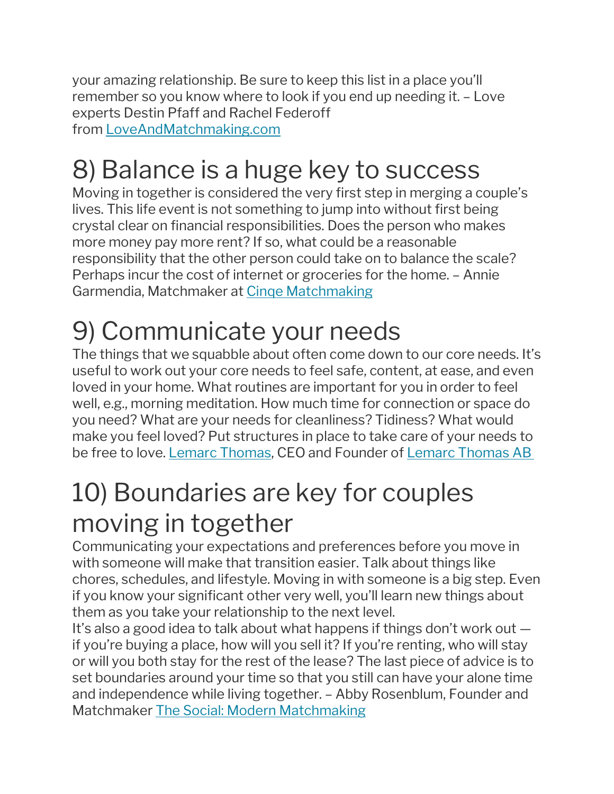your amazing relationship. Be sure to keep this list in a place you'll remember so you know where to look if you end up needing it. – Love experts Destin Pfaff and Rachel Federoff from [LoveAndMatchmaking.com](http://www.loveandmatchmaking.com/)

# 8) Balance is a huge key to success

Moving in together is considered the very first step in merging a couple's lives. This life event is not something to jump into without first being crystal clear on financial responsibilities. Does the person who makes more money pay more rent? If so, what could be a reasonable responsibility that the other person could take on to balance the scale? Perhaps incur the cost of internet or groceries for the home. – Annie Garmendia, Matchmaker at Cinqe Matchmaking

# 9) Communicate your needs

The things that we squabble about often come down to our core needs. It's useful to work out your core needs to feel safe, content, at ease, and even loved in your home. What routines are important for you in order to feel well, e.g., morning meditation. How much time for connection or space do you need? What are your needs for cleanliness? Tidiness? What would make you feel loved? Put structures in place to take care of your needs to be free to love. Lemarc Thomas, CEO and Founder of Lemarc Thomas AB

# 10) Boundaries are key for couples moving in together

Communicating your expectations and preferences before you move in with someone will make that transition easier. Talk about things like chores, schedules, and lifestyle. Moving in with someone is a big step. Even if you know your significant other very well, you'll learn new things about them as you take your relationship to the next level.

It's also a good idea to talk about what happens if things don't work out if you're buying a place, how will you sell it? If you're renting, who will stay or will you both stay for the rest of the lease? The last piece of advice is to set boundaries around your time so that you still can have your alone time and independence while living together. – Abby Rosenblum, Founder and Matchmaker The Social: Modern Matchmaking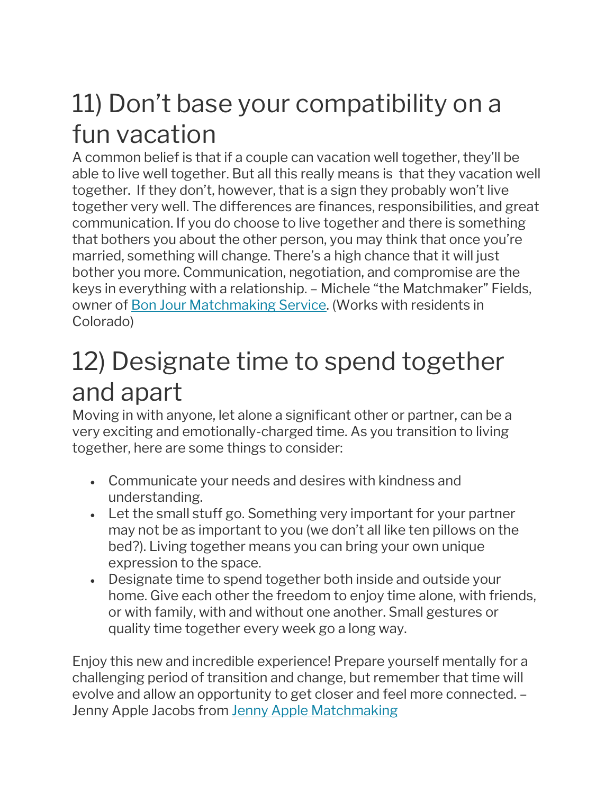### 11) Don't base your compatibility on a fun vacation

A common belief is that if a couple can vacation well together, they'll be able to live well together. But all this really means is that they vacation well together. If they don't, however, that is a sign they probably won't live together very well. The differences are finances, responsibilities, and great communication. If you do choose to live together and there is something that bothers you about the other person, you may think that once you're married, something will change. There's a high chance that it will just bother you more. Communication, negotiation, and compromise are the keys in everything with a relationship. – Michele "the Matchmaker" Fields, owner of Bon Jour Matchmaking Service. (Works with residents in Colorado)

### 12) Designate time to spend together and apart

Moving in with anyone, let alone a significant other or partner, can be a very exciting and emotionally-charged time. As you transition to living together, here are some things to consider:

- Communicate your needs and desires with kindness and understanding.
- Let the small stuff go. Something very important for your partner may not be as important to you (we don't all like ten pillows on the bed?). Living together means you can bring your own unique expression to the space.
- Designate time to spend together both inside and outside your home. Give each other the freedom to enjoy time alone, with friends, or with family, with and without one another. Small gestures or quality time together every week go a long way.

Enjoy this new and incredible experience! Prepare yourself mentally for a challenging period of transition and change, but remember that time will evolve and allow an opportunity to get closer and feel more connected. – Jenny Apple Jacobs from Jenny Apple Matchmaking